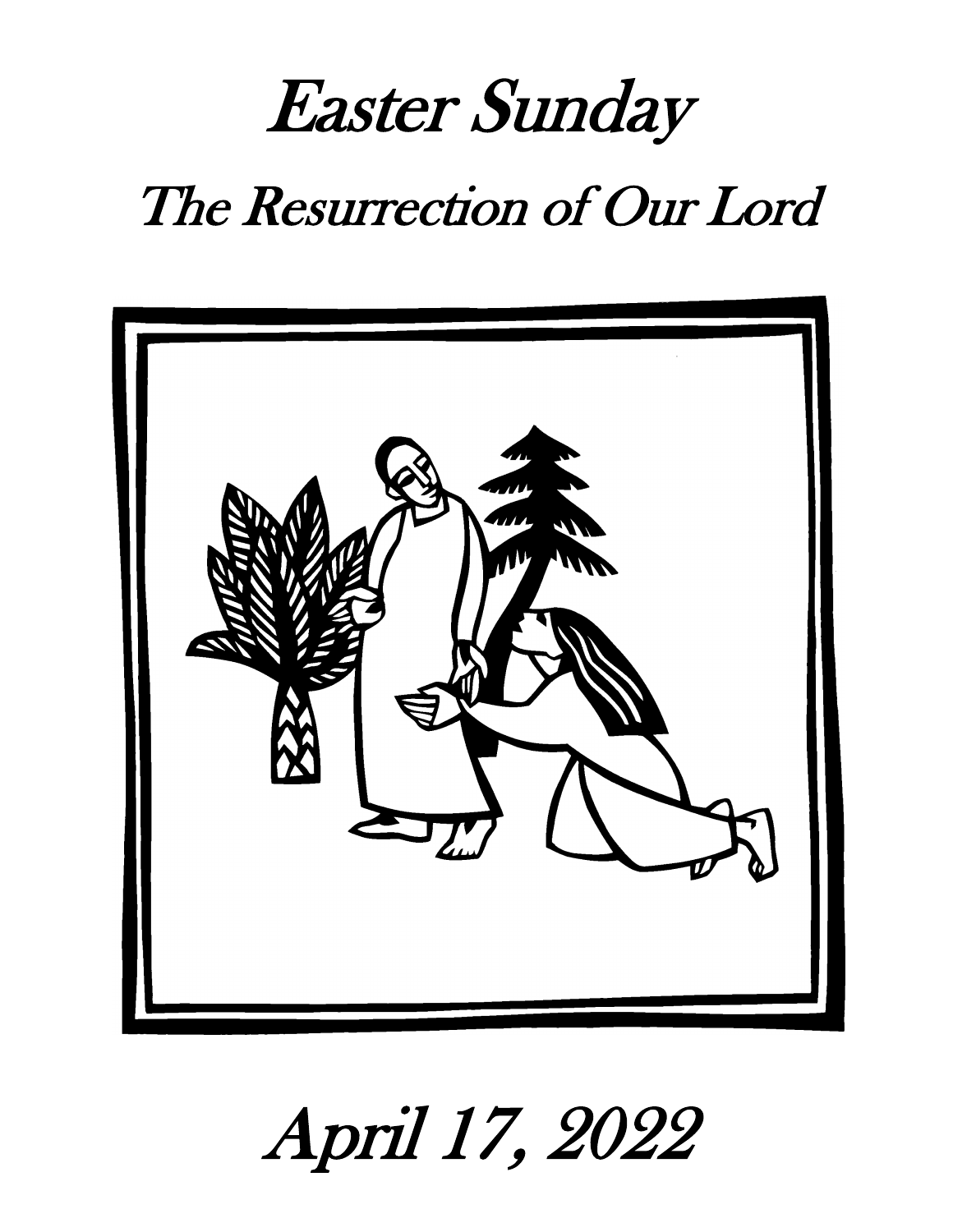# Easter Sunday The Resurrection of Our Lord



April 17, 2022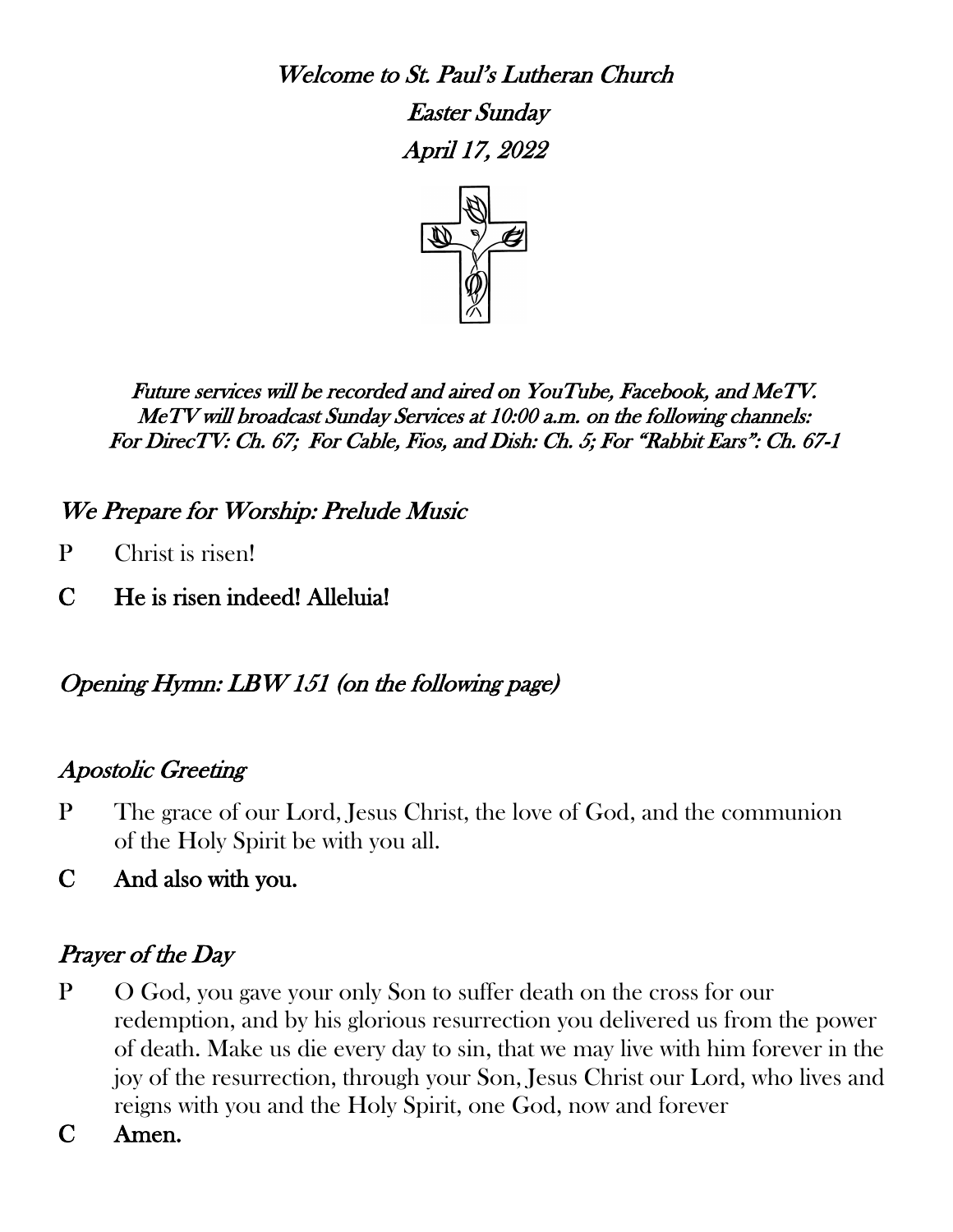Welcome to St. Paul's Lutheran Church

 Easter Sunday April 17, 2022



Future services will be recorded and aired on YouTube, Facebook, and MeTV. MeTV will broadcast Sunday Services at 10:00 a.m. on the following channels: For DirecTV: Ch. 67; For Cable, Fios, and Dish: Ch. 5; For "Rabbit Ears": Ch. 67-1

# We Prepare for Worship: Prelude Music

- P Christ is risen!
- C He is risen indeed! Alleluia!

# Opening Hymn: LBW 151 (on the following page)

# Apostolic Greeting

- P The grace of our Lord, Jesus Christ, the love of God, and the communion of the Holy Spirit be with you all.
- C And also with you.

# Prayer of the Day

- P O God, you gave your only Son to suffer death on the cross for our redemption, and by his glorious resurrection you delivered us from the power of death. Make us die every day to sin, that we may live with him forever in the joy of the resurrection, through your Son, Jesus Christ our Lord, who lives and reigns with you and the Holy Spirit, one God, now and forever
- C Amen.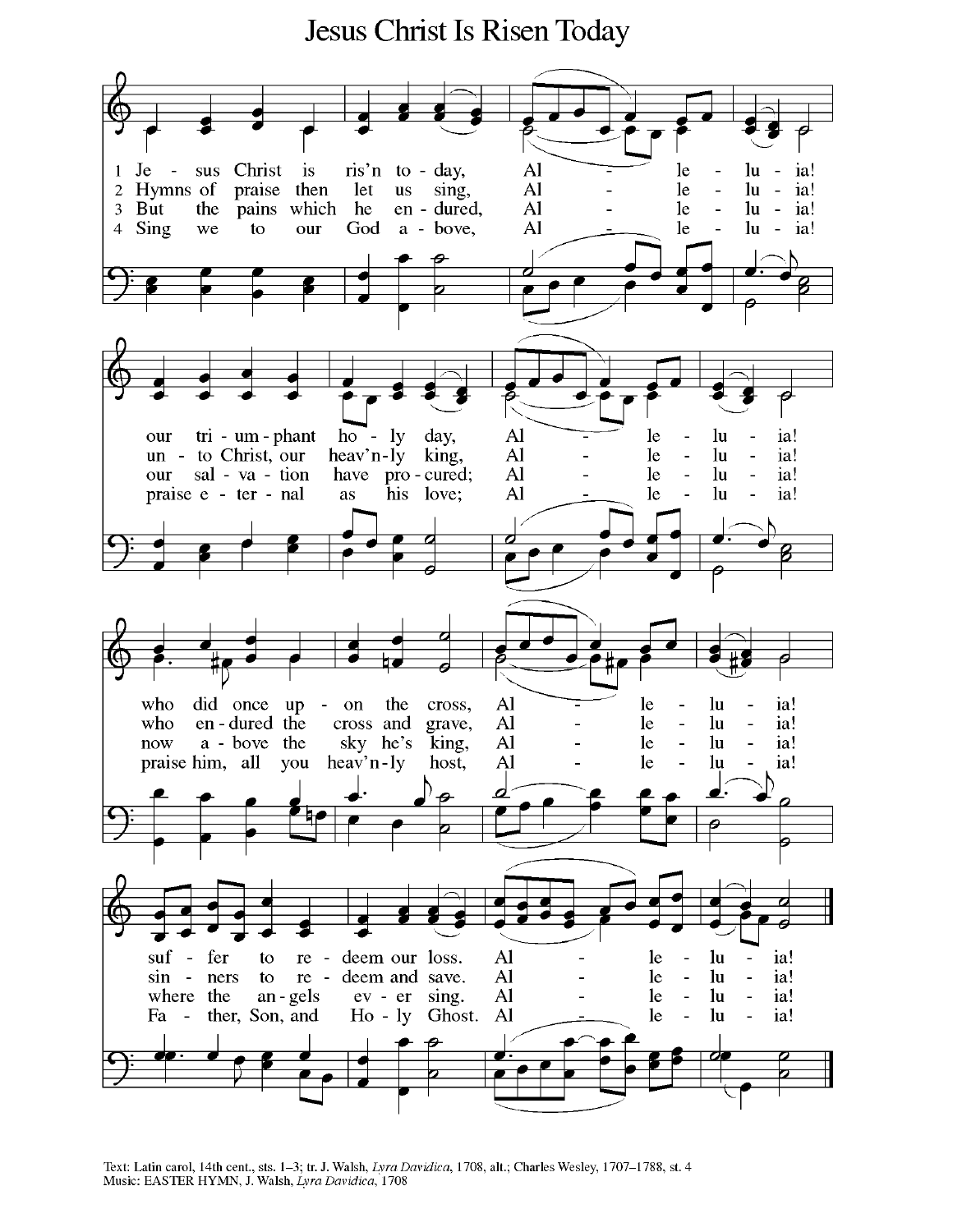# Jesus Christ Is Risen Today



Text: Latin carol, 14th cent., sts. 1-3; tr. J. Walsh, Lyra Davidica, 1708, alt.; Charles Wesley, 1707-1788, st. 4 Music: EASTER HYMN, J. Walsh, Lyra Davidica, 1708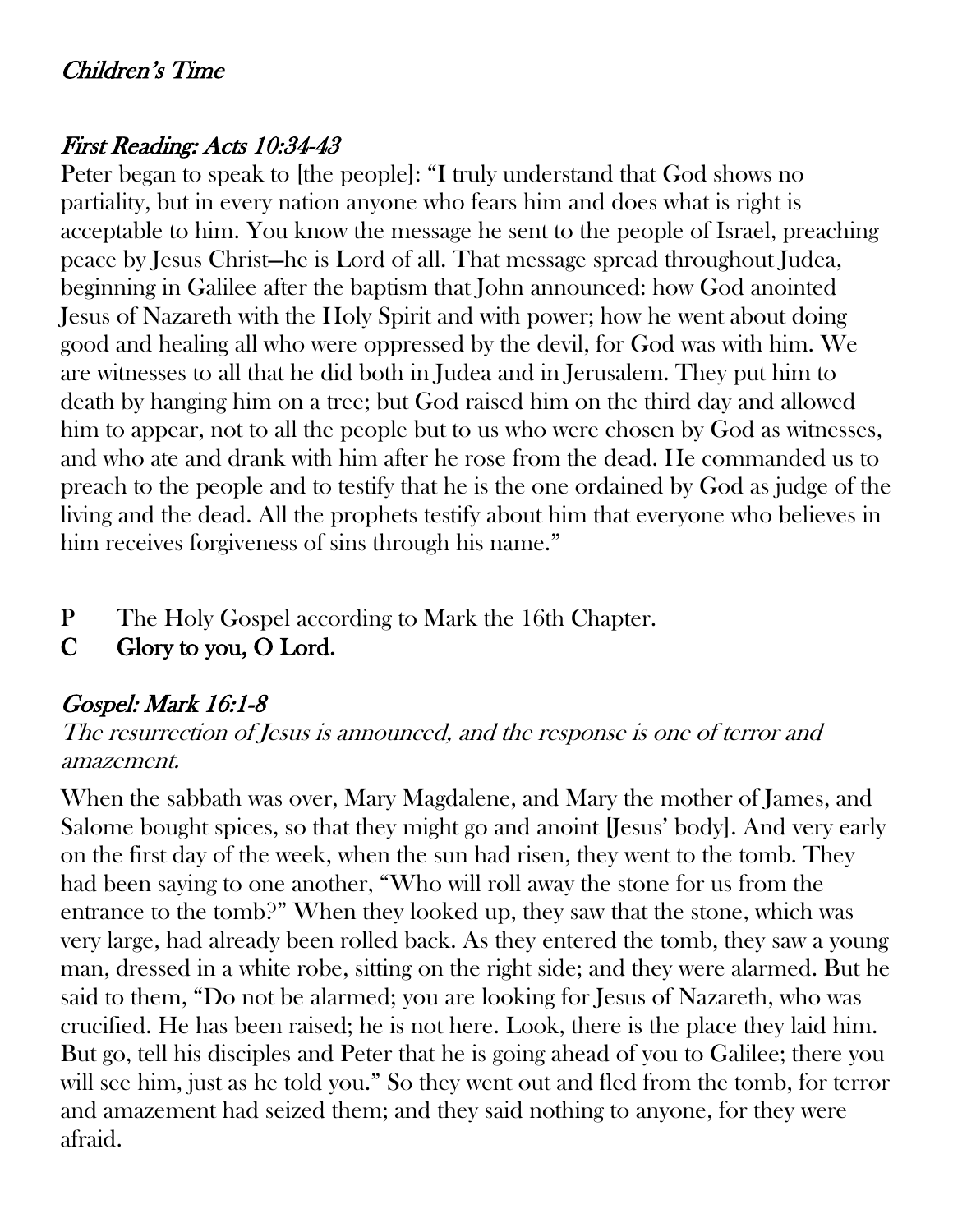# Children's Time

# First Reading: Acts 10:34-43

Peter began to speak to [the people]: "I truly understand that God shows no partiality, but in every nation anyone who fears him and does what is right is acceptable to him. You know the message he sent to the people of Israel, preaching peace by Jesus Christ—he is Lord of all. That message spread throughout Judea, beginning in Galilee after the baptism that John announced: how God anointed Jesus of Nazareth with the Holy Spirit and with power; how he went about doing good and healing all who were oppressed by the devil, for God was with him. We are witnesses to all that he did both in Judea and in Jerusalem. They put him to death by hanging him on a tree; but God raised him on the third day and allowed him to appear, not to all the people but to us who were chosen by God as witnesses, and who ate and drank with him after he rose from the dead. He commanded us to preach to the people and to testify that he is the one ordained by God as judge of the living and the dead. All the prophets testify about him that everyone who believes in him receives forgiveness of sins through his name."

- P The Holy Gospel according to Mark the 16th Chapter.
- C Glory to you, O Lord.

# Gospel: Mark 16:1-8

#### The resurrection of Jesus is announced, and the response is one of terror and amazement.

When the sabbath was over, Mary Magdalene, and Mary the mother of James, and Salome bought spices, so that they might go and anoint [Jesus' body]. And very early on the first day of the week, when the sun had risen, they went to the tomb. They had been saying to one another, "Who will roll away the stone for us from the entrance to the tomb?" When they looked up, they saw that the stone, which was very large, had already been rolled back. As they entered the tomb, they saw a young man, dressed in a white robe, sitting on the right side; and they were alarmed. But he said to them, "Do not be alarmed; you are looking for Jesus of Nazareth, who was crucified. He has been raised; he is not here. Look, there is the place they laid him. But go, tell his disciples and Peter that he is going ahead of you to Galilee; there you will see him, just as he told you." So they went out and fled from the tomb, for terror and amazement had seized them; and they said nothing to anyone, for they were afraid.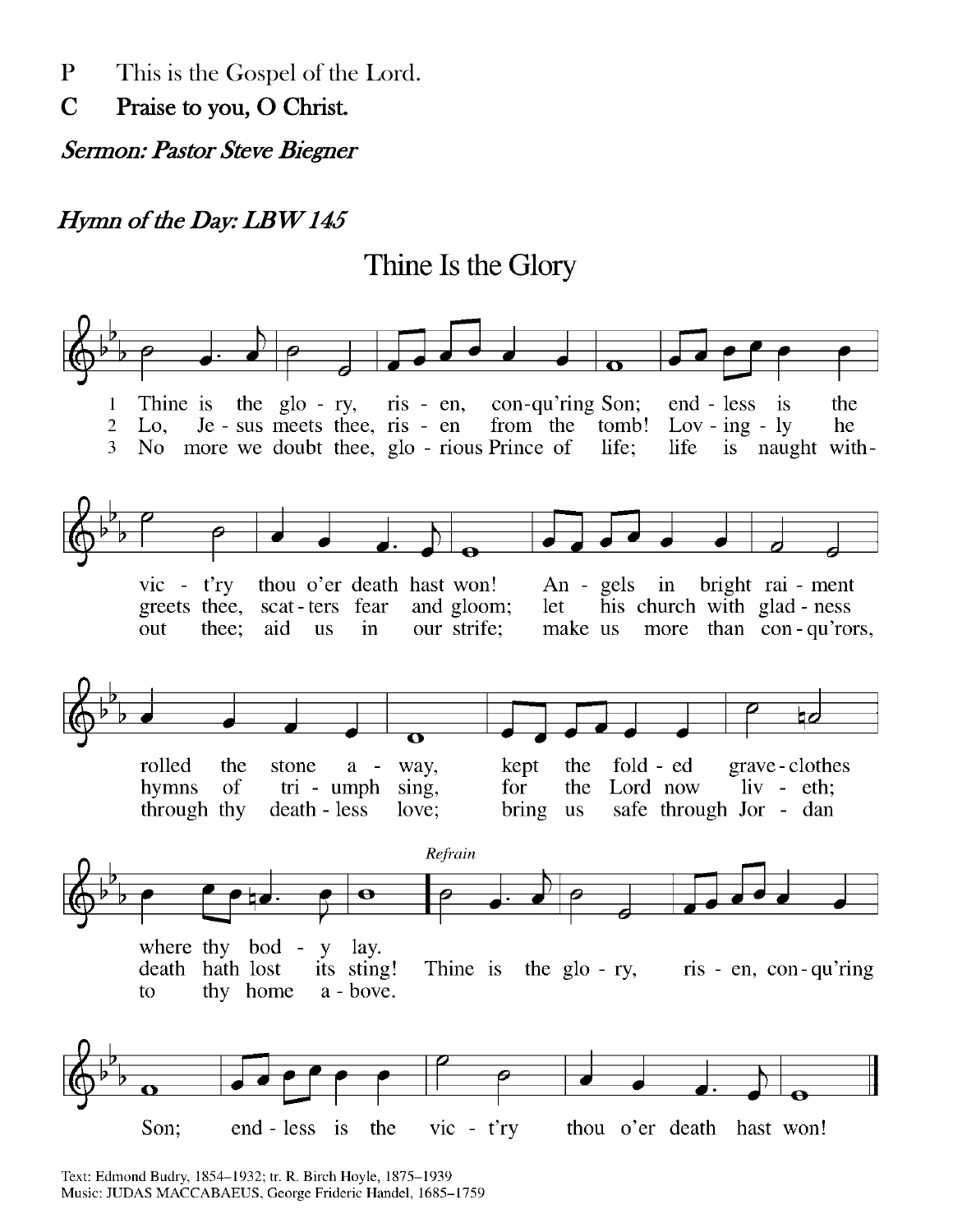P This is the Gospel of the Lord.

C Praise to you, O Christ.

Sermon: Pastor Steve Biegner

#### Hymn of the Day: LBW 145

Thine Is the Glory



Text: Edmond Budry, 1854-1932; tr. R. Birch Hoyle, 1875-1939 Music: JUDAS MACCABAEUS, George Frideric Handel, 1685-1759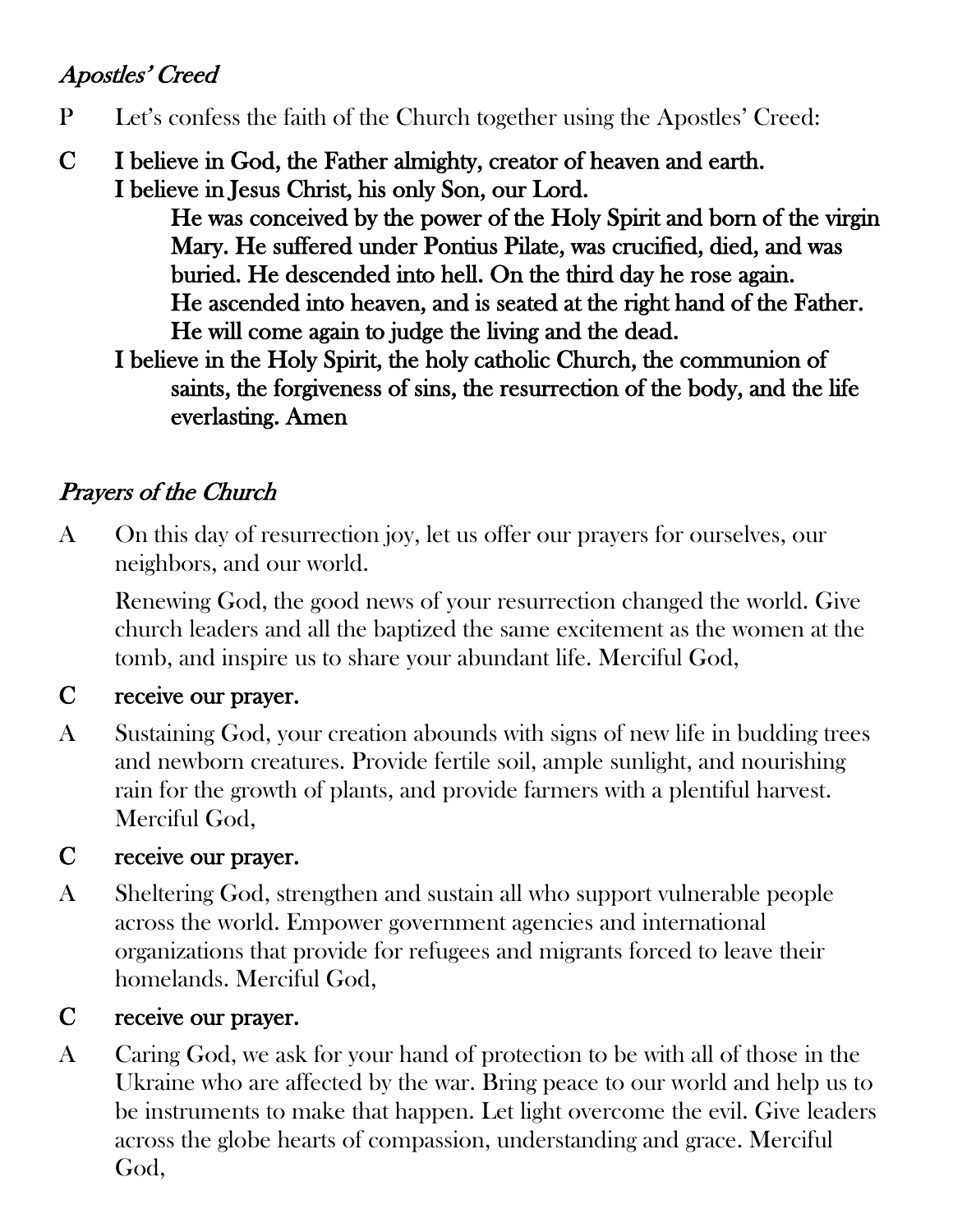# Apostles' Creed

- P Let's confess the faith of the Church together using the Apostles' Creed:
- C I believe in God, the Father almighty, creator of heaven and earth. I believe in Jesus Christ, his only Son, our Lord.

 He was conceived by the power of the Holy Spirit and born of the virgin Mary. He suffered under Pontius Pilate, was crucified, died, and was buried. He descended into hell. On the third day he rose again. He ascended into heaven, and is seated at the right hand of the Father. He will come again to judge the living and the dead.

 I believe in the Holy Spirit, the holy catholic Church, the communion of saints, the forgiveness of sins, the resurrection of the body, and the life everlasting. Amen

# Prayers of the Church

A On this day of resurrection joy, let us offer our prayers for ourselves, our neighbors, and our world.

Renewing God, the good news of your resurrection changed the world. Give church leaders and all the baptized the same excitement as the women at the tomb, and inspire us to share your abundant life. Merciful God,

#### C receive our prayer.

A Sustaining God, your creation abounds with signs of new life in budding trees and newborn creatures. Provide fertile soil, ample sunlight, and nourishing rain for the growth of plants, and provide farmers with a plentiful harvest. Merciful God,

#### C receive our prayer.

A Sheltering God, strengthen and sustain all who support vulnerable people across the world. Empower government agencies and international organizations that provide for refugees and migrants forced to leave their homelands. Merciful God,

#### C receive our prayer.

A Caring God, we ask for your hand of protection to be with all of those in the Ukraine who are affected by the war. Bring peace to our world and help us to be instruments to make that happen. Let light overcome the evil. Give leaders across the globe hearts of compassion, understanding and grace. Merciful God,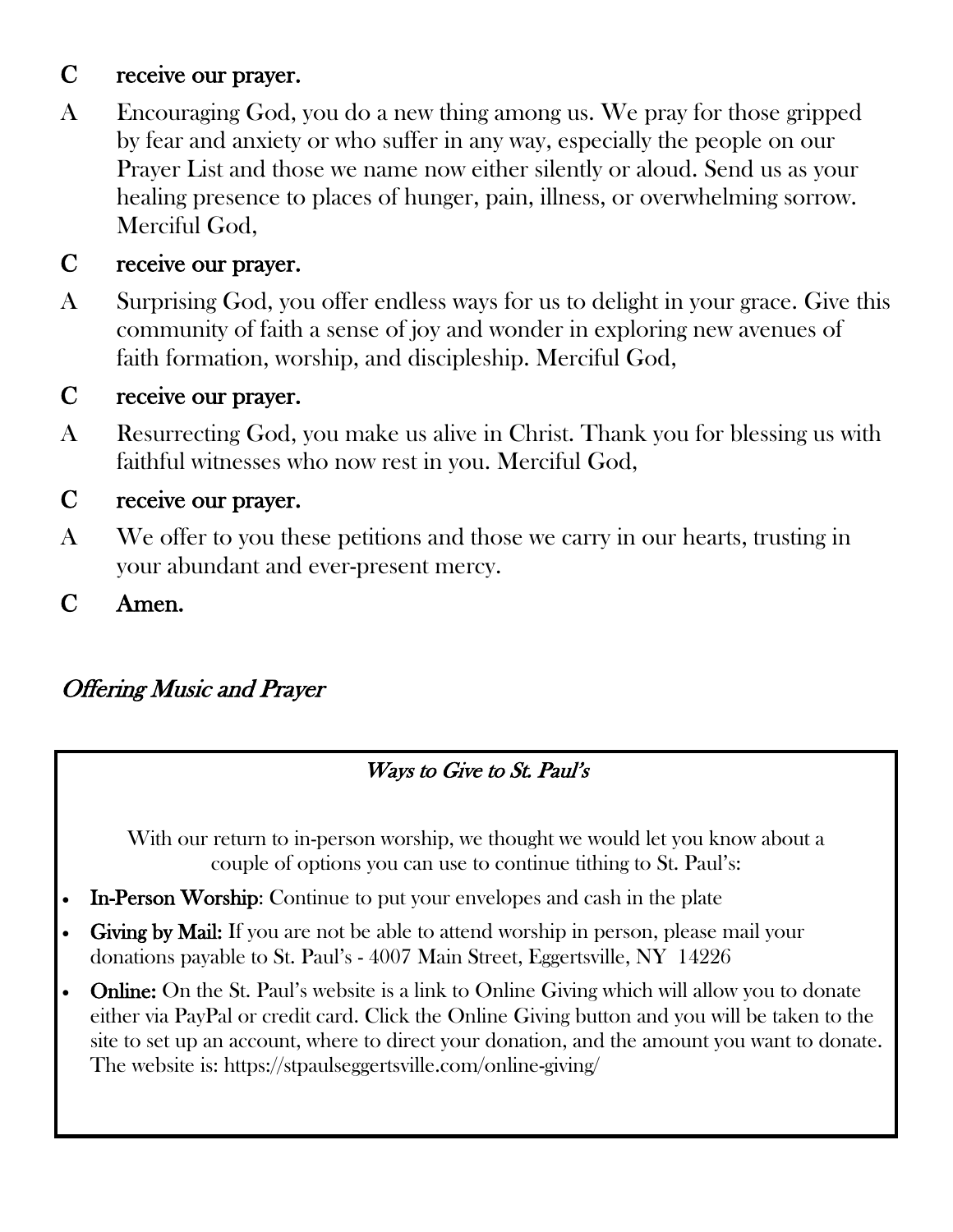# C receive our prayer.

A Encouraging God, you do a new thing among us. We pray for those gripped by fear and anxiety or who suffer in any way, especially the people on our Prayer List and those we name now either silently or aloud. Send us as your healing presence to places of hunger, pain, illness, or overwhelming sorrow. Merciful God,

#### C receive our prayer.

A Surprising God, you offer endless ways for us to delight in your grace. Give this community of faith a sense of joy and wonder in exploring new avenues of faith formation, worship, and discipleship. Merciful God,

#### C receive our prayer.

A Resurrecting God, you make us alive in Christ. Thank you for blessing us with faithful witnesses who now rest in you. Merciful God,

#### C receive our prayer.

- A We offer to you these petitions and those we carry in our hearts, trusting in your abundant and ever-present mercy.
- C Amen.

# Offering Music and Prayer

#### Ways to Give to St. Paul's

With our return to in-person worship, we thought we would let you know about a couple of options you can use to continue tithing to St. Paul's:

- In-Person Worship: Continue to put your envelopes and cash in the plate
- Giving by Mail: If you are not be able to attend worship in person, please mail your donations payable to St. Paul's - 4007 Main Street, Eggertsville, NY 14226
- **Online:** On the St. Paul's website is a link to Online Giving which will allow you to donate either via PayPal or credit card. Click the Online Giving button and you will be taken to the site to set up an account, where to direct your donation, and the amount you want to donate. The website is: https://stpaulseggertsville.com/online-giving/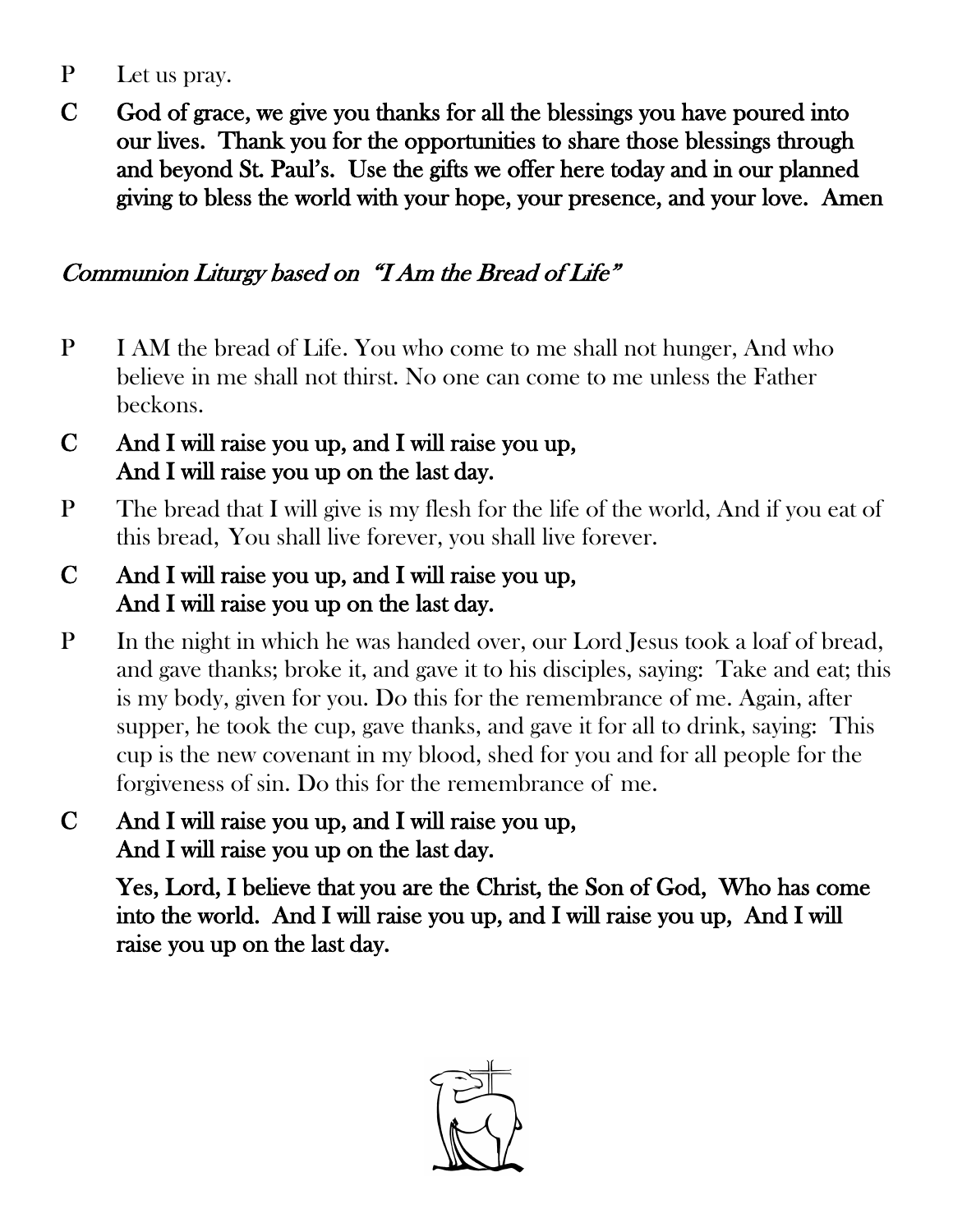- P Let us pray.
- C God of grace, we give you thanks for all the blessings you have poured into our lives. Thank you for the opportunities to share those blessings through and beyond St. Paul's. Use the gifts we offer here today and in our planned giving to bless the world with your hope, your presence, and your love. Amen

# Communion Liturgy based on "I Am the Bread of Life"

- P I AM the bread of Life. You who come to me shall not hunger, And who believe in me shall not thirst. No one can come to me unless the Father beckons.
- C And I will raise you up, and I will raise you up, And I will raise you up on the last day.
- P The bread that I will give is my flesh for the life of the world, And if you eat of this bread, You shall live forever, you shall live forever.
- C And I will raise you up, and I will raise you up, And I will raise you up on the last day.
- P In the night in which he was handed over, our Lord Jesus took a loaf of bread, and gave thanks; broke it, and gave it to his disciples, saying: Take and eat; this is my body, given for you. Do this for the remembrance of me. Again, after supper, he took the cup, gave thanks, and gave it for all to drink, saying: This cup is the new covenant in my blood, shed for you and for all people for the forgiveness of sin. Do this for the remembrance of me.
- C And I will raise you up, and I will raise you up, And I will raise you up on the last day.

 Yes, Lord, I believe that you are the Christ, the Son of God, Who has come into the world. And I will raise you up, and I will raise you up, And I will raise you up on the last day.

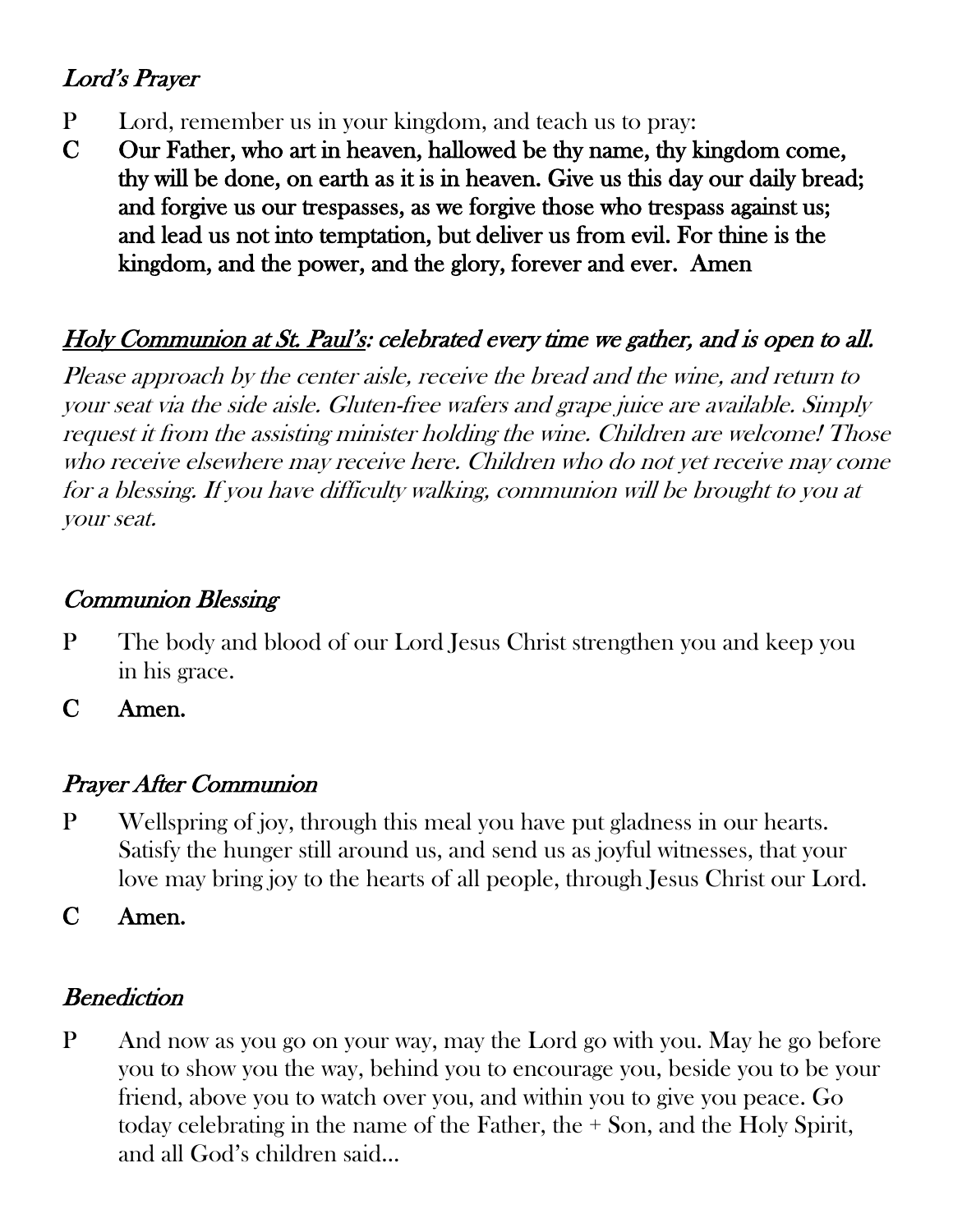# Lord's Prayer

- P Lord, remember us in your kingdom, and teach us to pray:
- C Our Father, who art in heaven, hallowed be thy name, thy kingdom come, thy will be done, on earth as it is in heaven. Give us this day our daily bread; and forgive us our trespasses, as we forgive those who trespass against us; and lead us not into temptation, but deliver us from evil. For thine is the kingdom, and the power, and the glory, forever and ever. Amen

# Holy Communion at St. Paul's: celebrated every time we gather, and is open to all.

Please approach by the center aisle, receive the bread and the wine, and return to your seat via the side aisle. Gluten-free wafers and grape juice are available. Simply request it from the assisting minister holding the wine. Children are welcome! Those who receive elsewhere may receive here. Children who do not yet receive may come for a blessing. If you have difficulty walking, communion will be brought to you at your seat.

# Communion Blessing

P The body and blood of our Lord Jesus Christ strengthen you and keep you in his grace.

C Amen.

# Prayer After Communion

P Wellspring of joy, through this meal you have put gladness in our hearts. Satisfy the hunger still around us, and send us as joyful witnesses, that your love may bring joy to the hearts of all people, through Jesus Christ our Lord.

C Amen.

# **Benediction**

P And now as you go on your way, may the Lord go with you. May he go before you to show you the way, behind you to encourage you, beside you to be your friend, above you to watch over you, and within you to give you peace. Go today celebrating in the name of the Father, the + Son, and the Holy Spirit, and all God's children said…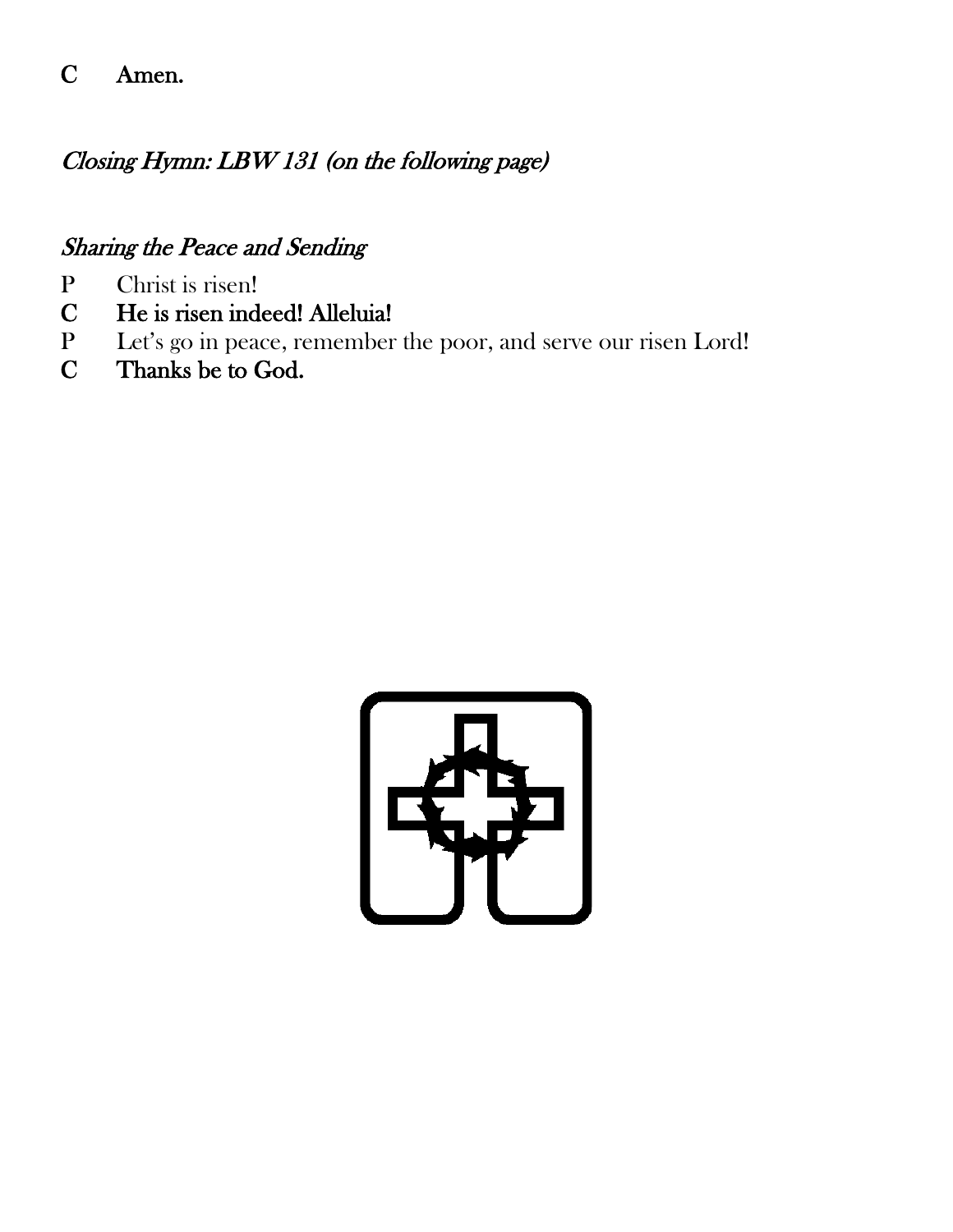# C Amen.

# Closing Hymn: LBW 131 (on the following page)

#### Sharing the Peace and Sending

- P Christ is risen!
- C He is risen indeed! Alleluia!
- P Let's go in peace, remember the poor, and serve our risen Lord!
- C Thanks be to God.

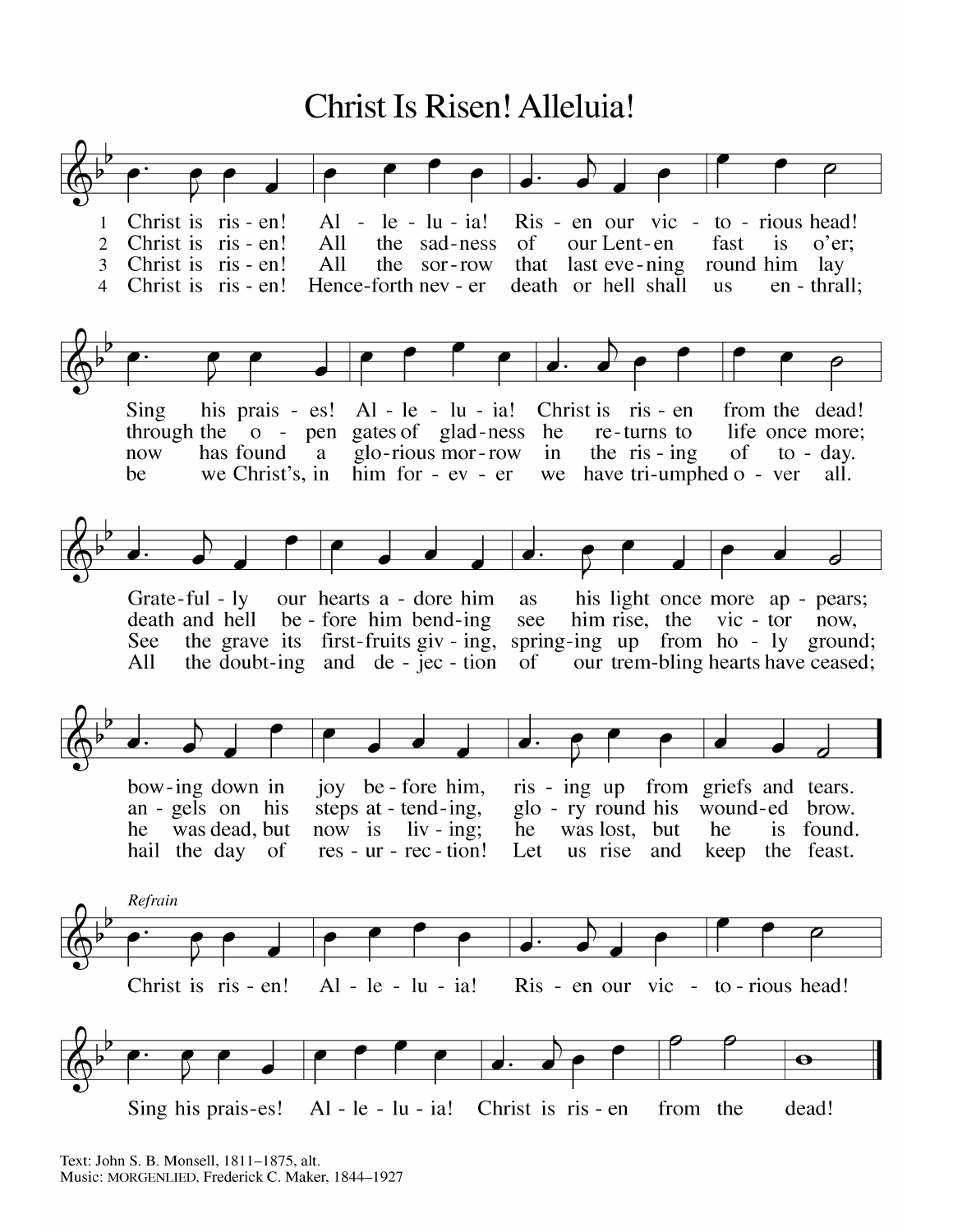# Christ Is Risen! Alleluia!



Text: John S. B. Monsell, 1811-1875, alt. Music: MORGENLIED, Frederick C. Maker, 1844-1927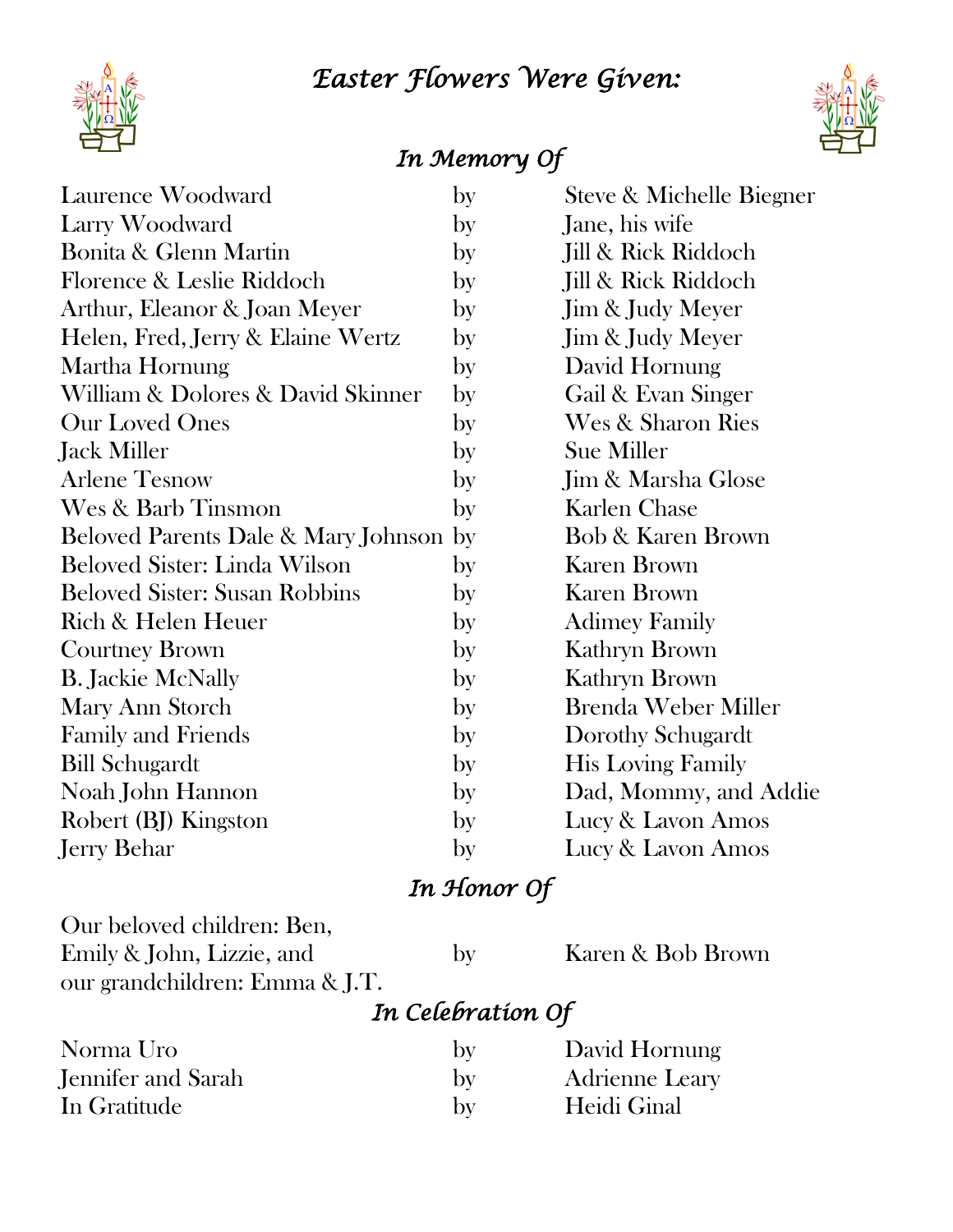# *Easter Flowers Were Given:*



# *In Memory Of*

| Laurence Woodward                      | by | Steve & Michelle Biegner      |
|----------------------------------------|----|-------------------------------|
| Larry Woodward                         | by | Jane, his wife                |
| <b>Bonita &amp; Glenn Martin</b>       | by | Jill & Rick Riddoch           |
| Florence & Leslie Riddoch              | by | Jill & Rick Riddoch           |
| Arthur, Eleanor & Joan Meyer           | by | Jim & Judy Meyer              |
| Helen, Fred, Jerry & Elaine Wertz      | by | Jim & Judy Meyer              |
| Martha Hornung                         | by | David Hornung                 |
| William & Dolores & David Skinner      | by | Gail & Evan Singer            |
| <b>Our Loved Ones</b>                  | by | Wes & Sharon Ries             |
| Jack Miller                            | by | Sue Miller                    |
| <b>Arlene Tesnow</b>                   | by | <b>Jim &amp; Marsha Glose</b> |
| Wes & Barb Tinsmon                     | by | <b>Karlen Chase</b>           |
| Beloved Parents Dale & Mary Johnson by |    | Bob & Karen Brown             |
| Beloved Sister: Linda Wilson           | by | <b>Karen Brown</b>            |
| <b>Beloved Sister: Susan Robbins</b>   | by | <b>Karen Brown</b>            |
| Rich & Helen Heuer                     | by | <b>Adimey Family</b>          |
| <b>Courtney Brown</b>                  | by | Kathryn Brown                 |
| <b>B. Jackie McNally</b>               | by | Kathryn Brown                 |
| Mary Ann Storch                        | by | <b>Brenda Weber Miller</b>    |
| <b>Family and Friends</b>              | by | Dorothy Schugardt             |
| Bill Schugardt                         | by | <b>His Loving Family</b>      |
| Noah John Hannon                       | by | Dad, Mommy, and Addie         |
| Robert (BJ) Kingston                   | by | Lucy & Lavon Amos             |
| Jerry Behar                            | by | Lucy & Lavon Amos             |

# *In Honor Of*

Our beloved children: Ben, Emily & John, Lizzie, and by Karen & Bob Brown our grandchildren: Emma & J.T.

# *In Celebration Of*

| Norma Uro          | by           | David Hornung         |
|--------------------|--------------|-----------------------|
| Jennifer and Sarah | by           | <b>Adrienne Leary</b> |
| In Gratitude       | $\mathbf{b}$ | Heidi Ginal           |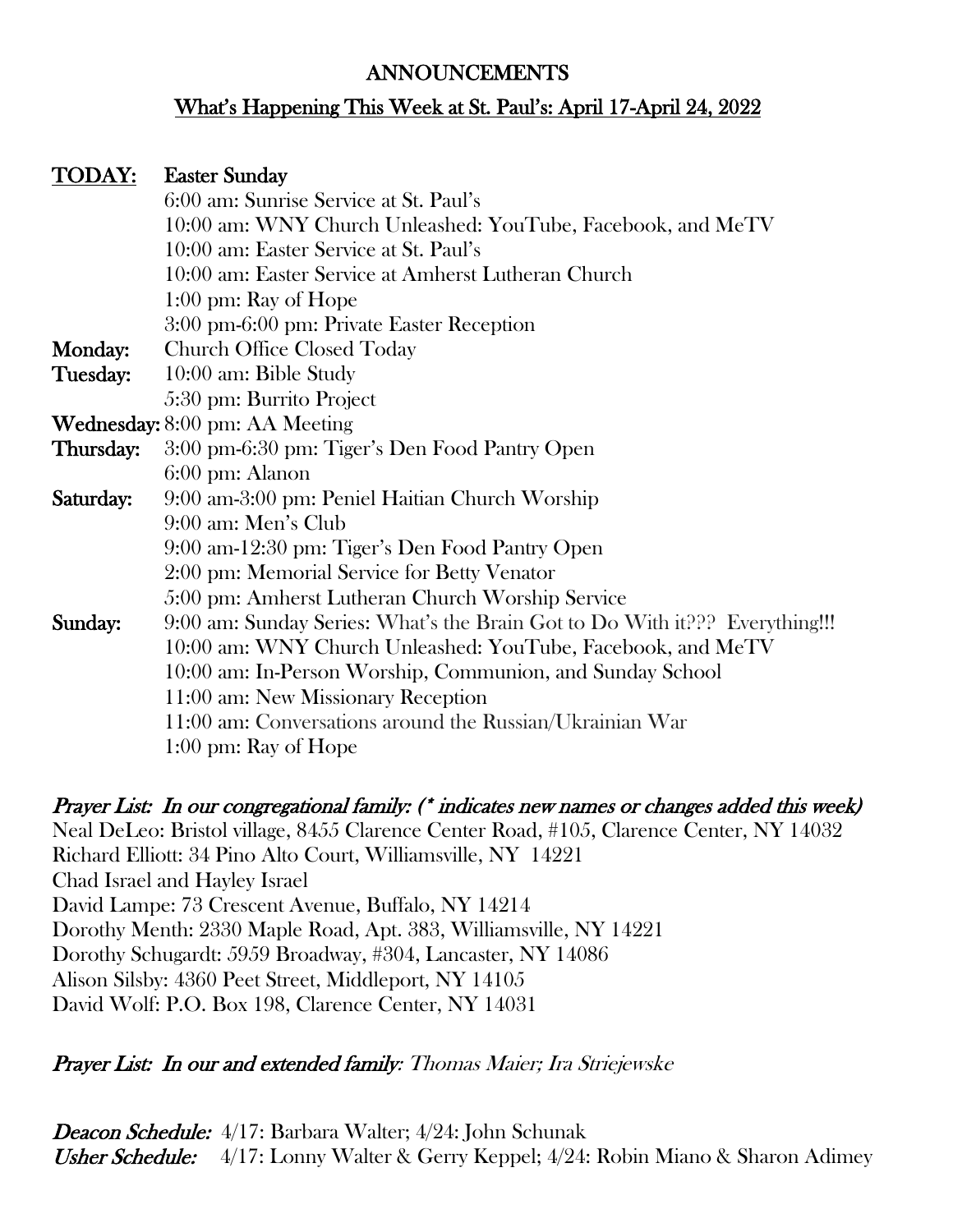#### ANNOUNCEMENTS

#### What's Happening This Week at St. Paul's: April 17-April 24, 2022

#### TODAY: Easter Sunday

|                | 6:00 am: Sunrise Service at St. Paul's                                      |
|----------------|-----------------------------------------------------------------------------|
|                | 10:00 am: WNY Church Unleashed: YouTube, Facebook, and MeTV                 |
|                | 10:00 am: Easter Service at St. Paul's                                      |
|                | 10:00 am: Easter Service at Amherst Lutheran Church                         |
|                | $1:00 \text{ pm: Ray of Hope}$                                              |
|                | 3:00 pm-6:00 pm: Private Easter Reception                                   |
| <b>Monday:</b> | <b>Church Office Closed Today</b>                                           |
| Tuesday:       | 10:00 am: Bible Study                                                       |
|                | 5:30 pm: Burrito Project                                                    |
|                | <b>Wednesday:</b> 8:00 pm: AA Meeting                                       |
| Thursday:      | 3:00 pm-6:30 pm: Tiger's Den Food Pantry Open                               |
|                | 6:00 pm: Alanon                                                             |
| Saturday:      | 9:00 am-3:00 pm: Peniel Haitian Church Worship                              |
|                | 9:00 am: Men's Club                                                         |
|                | 9:00 am-12:30 pm: Tiger's Den Food Pantry Open                              |
|                | 2:00 pm: Memorial Service for Betty Venator                                 |
|                | 5:00 pm: Amherst Lutheran Church Worship Service                            |
| Sunday:        | 9:00 am: Sunday Series: What's the Brain Got to Do With it??? Everything!!! |
|                | 10:00 am: WNY Church Unleashed: YouTube, Facebook, and MeTV                 |
|                | 10:00 am: In-Person Worship, Communion, and Sunday School                   |
|                | 11:00 am: New Missionary Reception                                          |
|                | 11:00 am: Conversations around the Russian/Ukrainian War                    |
|                | $1:00 \text{ pm}$ : Ray of Hope                                             |

Prayer List: In our congregational family: (\* indicates new names or changes added this week) Neal DeLeo: Bristol village, 8455 Clarence Center Road, #105, Clarence Center, NY 14032 Richard Elliott: 34 Pino Alto Court, Williamsville, NY 14221 Chad Israel and Hayley Israel David Lampe: 73 Crescent Avenue, Buffalo, NY 14214 Dorothy Menth: 2330 Maple Road, Apt. 383, Williamsville, NY 14221 Dorothy Schugardt: 5959 Broadway, #304, Lancaster, NY 14086 Alison Silsby: 4360 Peet Street, Middleport, NY 14105 David Wolf: P.O. Box 198, Clarence Center, NY 14031

#### Prayer List: In our and extended family: Thomas Maier; Ira Striejewske

Deacon Schedule: 4/17: Barbara Walter; 4/24: John Schunak Usher Schedule: 4/17: Lonny Walter & Gerry Keppel; 4/24: Robin Miano & Sharon Adimey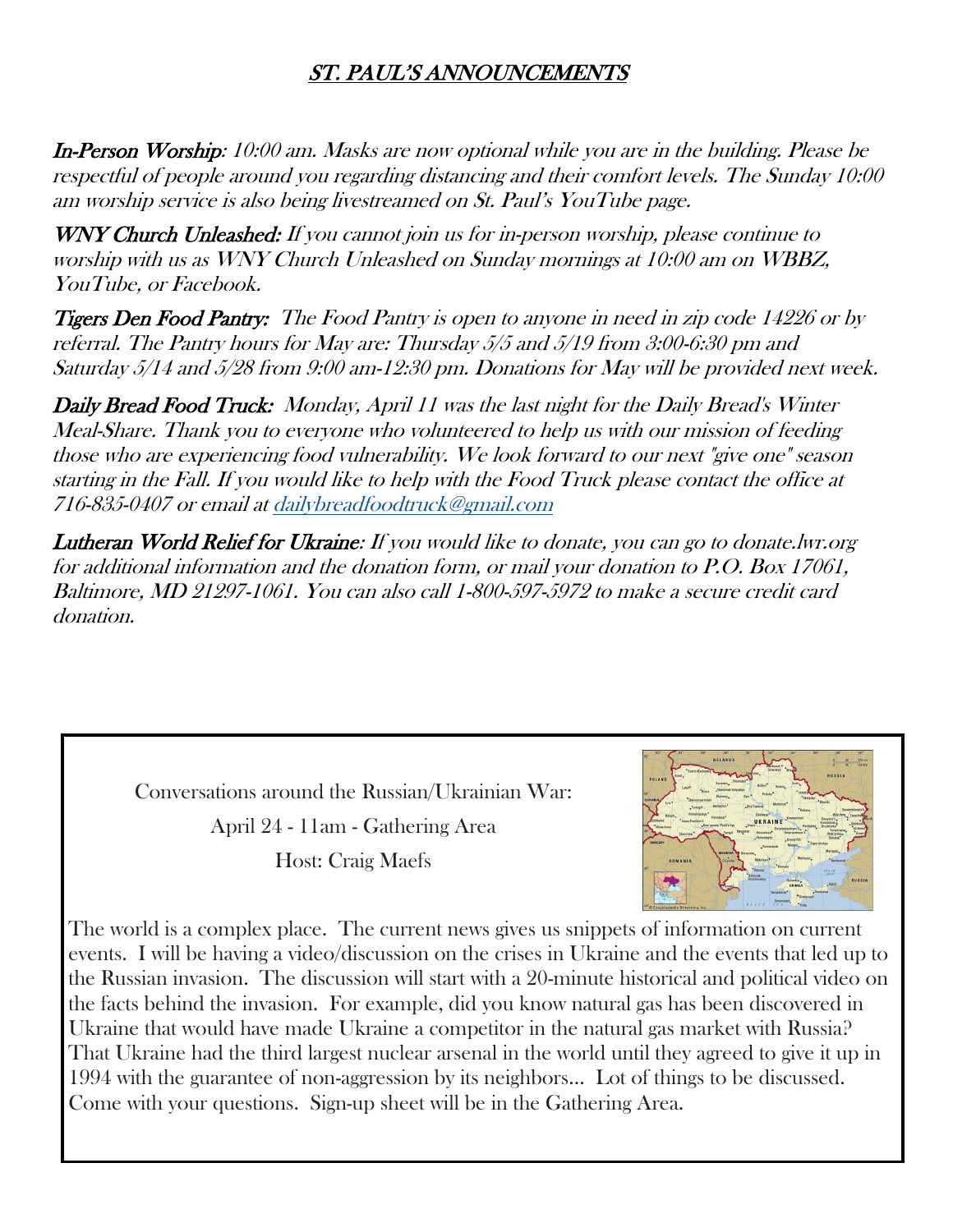#### ST. PAUL'S ANNOUNCEMENTS

In-Person Worship: 10:00 am. Masks are now optional while you are in the building. Please be respectful of people around you regarding distancing and their comfort levels. The Sunday 10:00 am worship service is also being livestreamed on St. Paul's YouTube page.

WNY Church Unleashed: If you cannot join us for in-person worship, please continue to worship with us as WNY Church Unleashed on Sunday mornings at 10:00 am on WBBZ, YouTube, or Facebook.

Tigers Den Food Pantry: The Food Pantry is open to anyone in need in zip code 14226 or by referral. The Pantry hours for May are: Thursday 5/5 and 5/19 from 3:00-6:30 pm and Saturday 5/14 and 5/28 from 9:00 am-12:30 pm. Donations for May will be provided next week.

Daily Bread Food Truck: Monday, April 11 was the last night for the Daily Bread's Winter Meal-Share. Thank you to everyone who volunteered to help us with our mission of feeding those who are experiencing food vulnerability. We look forward to our next "give one" season starting in the Fall. If you would like to help with the Food Truck please contact the office at 716-835-0407 or email at [dailybreadfoodtruck@gmail.com](mailto:dailybreadfoodtruck@gmail.com)

Lutheran World Relief for Ukraine: If you would like to donate, you can go to donate.lwr.org for additional information and the donation form, or mail your donation to P.O. Box 17061, Baltimore, MD 21297-1061. You can also call 1-800-597-5972 to make a secure credit card donation.

> Conversations around the Russian/Ukrainian War: April 24 - 11am - Gathering Area

> > Host: Craig Maefs



The world is a complex place. The current news gives us snippets of information on current events. I will be having a video/discussion on the crises in Ukraine and the events that led up to the Russian invasion. The discussion will start with a 20-minute historical and political video on the facts behind the invasion. For example, did you know natural gas has been discovered in Ukraine that would have made Ukraine a competitor in the natural gas market with Russia? That Ukraine had the third largest nuclear arsenal in the world until they agreed to give it up in 1994 with the guarantee of non-aggression by its neighbors… Lot of things to be discussed. Come with your questions. Sign-up sheet will be in the Gathering Area.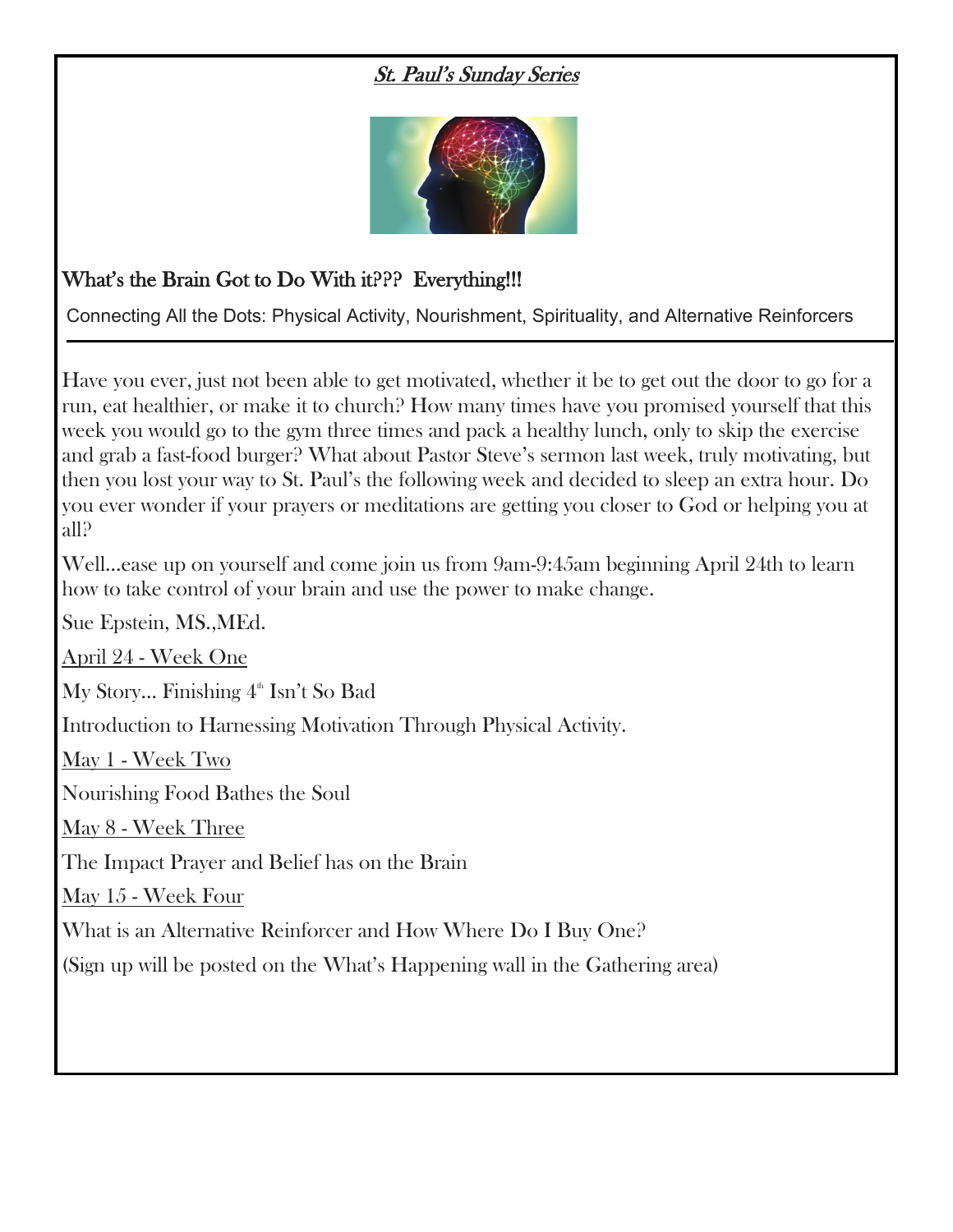#### St. Paul's Sunday Series



#### What's the Brain Got to Do With it??? Everything!!!

Connecting All the Dots: Physical Activity, Nourishment, Spirituality, and Alternative Reinforcers

Have you ever, just not been able to get motivated, whether it be to get out the door to go for a run, eat healthier, or make it to church? How many times have you promised yourself that this week you would go to the gym three times and pack a healthy lunch, only to skip the exercise and grab a fast-food burger? What about Pastor Steve's sermon last week, truly motivating, but then you lost your way to St. Paul's the following week and decided to sleep an extra hour. Do you ever wonder if your prayers or meditations are getting you closer to God or helping you at all?

Well…ease up on yourself and come join us from 9am-9:45am beginning April 24th to learn how to take control of your brain and use the power to make change.

Sue Epstein, MS.,MEd.

April 24 - Week One

My Story... Finishing  $4^{\text{th}}$  Isn't So Bad

Introduction to Harnessing Motivation Through Physical Activity.

May 1 - Week Two

Nourishing Food Bathes the Soul

May 8 - Week Three

The Impact Prayer and Belief has on the Brain

May 15 - Week Four

What is an Alternative Reinforcer and How Where Do I Buy One?

(Sign up will be posted on the What's Happening wall in the Gathering area)